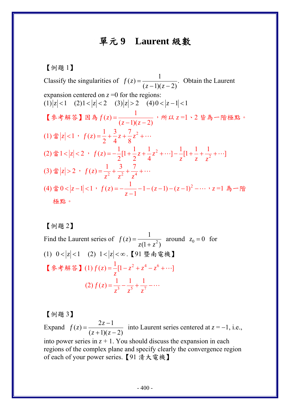## 單元 **9 Laurent** 級數

【例題 1】

Classify the singularities of  $f(z) = \frac{1}{(z-1)(z-2)}$ . Obtain the Laurent expansion centered on  $z = 0$  for the regions:  $(1) |z| < 1$   $(2) 1 < |z| < 2$   $(3) |z| > 2$   $(4) 0 < |z-1| < 1$ 【參考解答】因為 $f(z) = \frac{1}{(z-1)(z-2)}$ , 所以 $z=1$ 、2 皆為一階極點。 (1)  $\sharp |z| < 1$ ,  $f(z) = \frac{1}{2} + \frac{3}{4}z + \frac{7}{8}z^2 + \cdots$ (2) 當1 <  $|z|$  < 2,  $f(z) = -\frac{1}{2}[1 + \frac{1}{2}z + \frac{1}{4}z^2 + \cdots] - \frac{1}{z}[1 + \frac{1}{z} + \frac{1}{z^2} + \cdots]$  $=-\frac{1}{2}[1+\frac{1}{2}z+\frac{1}{2}z^2+\cdots]-\frac{1}{2}[1+\frac{1}{2}+\frac{1}{2}+\cdots]$ (3) 當  $|z| > 2$ ,  $f(z) = \frac{1}{z^2} + \frac{3}{z^2} + \frac{7}{z^4}$  $z^2$   $z^2$  z  $=\frac{1}{2}+\frac{3}{2}+\frac{7}{4}+\cdots$ (4)當0 < |z − 1| < 1 , *f* (z) = − <mark>\_z − 1</mark> − (z − 1) − (z − 1)<sup>2</sup> − … , z =1 為 − 階 極點。

【例題 2】

Find the Laurent series of  $f(z) = \frac{1}{z(1 + z^2)}$  around  $z_0 = 0$  for (1) 0 < |z| < 1 (2) 1 < |z| < ∞ . 【91 暨南電機】 【參考解答】(1)  $f(z) = \frac{1}{z} [1 - z^2 + z^4 - z^6 + \cdots]$ *z*  $=-[1-z^2+z^4-z^6+\cdots$  $(2) f(z) = \frac{1}{z^3} - \frac{1}{z^5} + \frac{1}{z^7}$  $z^3$   $z^5$  z  $=\frac{1}{3} - \frac{1}{5} + \frac{1}{7} - \cdots$ 

【例題 3】

Expand  $f(z) = \frac{2z-1}{(z+1)(z-2)}$  $=\frac{2z-1}{(z+1)(z-1)}$ into Laurent series centered at  $z = -1$ , i.e., into power series in  $z + 1$ . You should discuss the expansion in each regions of the complex plane and specify clearly the convergence region of each of your power series.【91 清大電機】